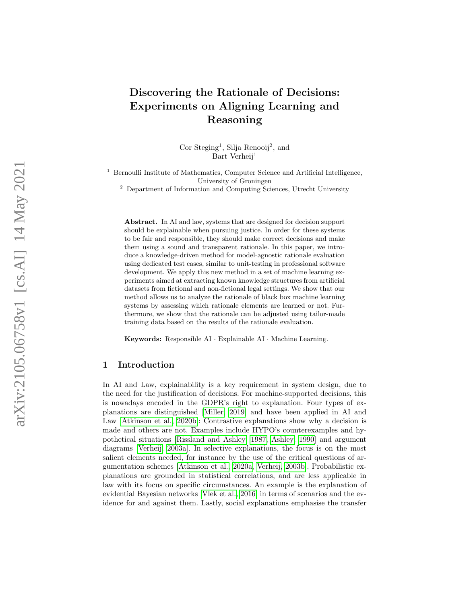# Discovering the Rationale of Decisions: Experiments on Aligning Learning and Reasoning

Cor Steging<sup>1</sup>, Silja Renooij<sup>2</sup>, and Bart Verheij 1

<sup>1</sup> Bernoulli Institute of Mathematics, Computer Science and Artificial Intelligence, University of Groningen

<sup>2</sup> Department of Information and Computing Sciences, Utrecht University

Abstract. In AI and law, systems that are designed for decision support should be explainable when pursuing justice. In order for these systems to be fair and responsible, they should make correct decisions and make them using a sound and transparent rationale. In this paper, we introduce a knowledge-driven method for model-agnostic rationale evaluation using dedicated test cases, similar to unit-testing in professional software development. We apply this new method in a set of machine learning experiments aimed at extracting known knowledge structures from artificial datasets from fictional and non-fictional legal settings. We show that our method allows us to analyze the rationale of black box machine learning systems by assessing which rationale elements are learned or not. Furthermore, we show that the rationale can be adjusted using tailor-made training data based on the results of the rationale evaluation.

Keywords: Responsible AI · Explainable AI · Machine Learning.

# 1 Introduction

In AI and Law, explainability is a key requirement in system design, due to the need for the justification of decisions. For machine-supported decisions, this is nowadays encoded in the GDPR's right to explanation. Four types of explanations are distinguished [\[Miller, 2019\]](#page-20-0) and have been applied in AI and Law [\[Atkinson et al., 2020b\]](#page-19-0): Contrastive explanations show why a decision is made and others are not. Examples include HYPO's counterexamples and hypothetical situations [\[Rissland and Ashley, 1987,](#page-20-1) [Ashley, 1990\]](#page-19-1) and argument diagrams [\[Verheij, 2003a\]](#page-20-2). In selective explanations, the focus is on the most salient elements needed, for instance by the use of the critical questions of argumentation schemes [\[Atkinson et al., 2020a,](#page-19-2) [Verheij, 2003b\]](#page-20-3). Probabilistic explanations are grounded in statistical correlations, and are less applicable in law with its focus on specific circumstances. An example is the explanation of evidential Bayesian networks [\[Vlek et al., 2016\]](#page-20-4) in terms of scenarios and the evidence for and against them. Lastly, social explanations emphasise the transfer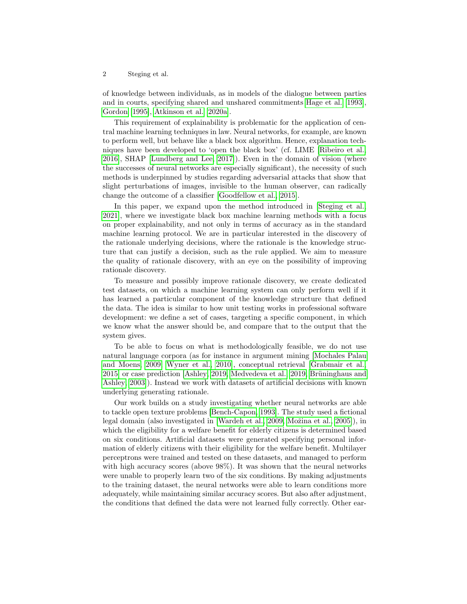of knowledge between individuals, as in models of the dialogue between parties and in courts, specifying shared and unshared commitments [Hage et al.](#page-19-3) [\[1993\]](#page-19-3), [Gordon](#page-19-4) [\[1995\]](#page-19-4), [Atkinson et al.](#page-19-2) [\[2020a\]](#page-19-2).

This requirement of explainability is problematic for the application of central machine learning techniques in law. Neural networks, for example, are known to perform well, but behave like a black box algorithm. Hence, explanation techniques have been developed to 'open the black box' (cf. LIME [\[Ribeiro et al.,](#page-20-5) [2016\]](#page-20-5), SHAP [\[Lundberg and Lee, 2017\]](#page-19-5)). Even in the domain of vision (where the successes of neural networks are especially significant), the necessity of such methods is underpinned by studies regarding adversarial attacks that show that slight perturbations of images, invisible to the human observer, can radically change the outcome of a classifier [\[Goodfellow et al., 2015\]](#page-19-6).

In this paper, we expand upon the method introduced in [\[Steging et al.,](#page-20-6) [2021\]](#page-20-6), where we investigate black box machine learning methods with a focus on proper explainability, and not only in terms of accuracy as in the standard machine learning protocol. We are in particular interested in the discovery of the rationale underlying decisions, where the rationale is the knowledge structure that can justify a decision, such as the rule applied. We aim to measure the quality of rationale discovery, with an eye on the possibility of improving rationale discovery.

To measure and possibly improve rationale discovery, we create dedicated test datasets, on which a machine learning system can only perform well if it has learned a particular component of the knowledge structure that defined the data. The idea is similar to how unit testing works in professional software development: we define a set of cases, targeting a specific component, in which we know what the answer should be, and compare that to the output that the system gives.

To be able to focus on what is methodologically feasible, we do not use natural language corpora (as for instance in argument mining [\[Mochales Palau](#page-20-7) [and Moens, 2009,](#page-20-7) [Wyner et al., 2010\]](#page-20-8), conceptual retrieval [\[Grabmair et al.,](#page-19-7)  $2015$  or case prediction [\[Ashley, 2019,](#page-19-8) [Medvedeva et al., 2019,](#page-19-9) Brüninghaus and [Ashley, 2003\]](#page-19-10)). Instead we work with datasets of artificial decisions with known underlying generating rationale.

Our work builds on a study investigating whether neural networks are able to tackle open texture problems [\[Bench-Capon, 1993\]](#page-19-11). The study used a fictional legal domain (also investigated in [\[Wardeh et al., 2009,](#page-20-9) Možina et al., 2005]), in which the eligibility for a welfare benefit for elderly citizens is determined based on six conditions. Artificial datasets were generated specifying personal information of elderly citizens with their eligibility for the welfare benefit. Multilayer perceptrons were trained and tested on these datasets, and managed to perform with high accuracy scores (above 98%). It was shown that the neural networks were unable to properly learn two of the six conditions. By making adjustments to the training dataset, the neural networks were able to learn conditions more adequately, while maintaining similar accuracy scores. But also after adjustment, the conditions that defined the data were not learned fully correctly. Other ear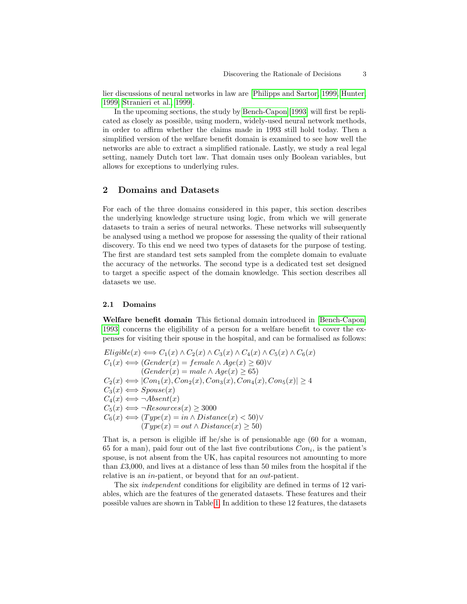lier discussions of neural networks in law are [\[Philipps and Sartor, 1999,](#page-20-11) [Hunter,](#page-19-12) [1999,](#page-19-12) [Stranieri et al., 1999\]](#page-20-12).

In the upcoming sections, the study by [Bench-Capon](#page-19-11) [\[1993\]](#page-19-11) will first be replicated as closely as possible, using modern, widely-used neural network methods, in order to affirm whether the claims made in 1993 still hold today. Then a simplified version of the welfare benefit domain is examined to see how well the networks are able to extract a simplified rationale. Lastly, we study a real legal setting, namely Dutch tort law. That domain uses only Boolean variables, but allows for exceptions to underlying rules.

## 2 Domains and Datasets

For each of the three domains considered in this paper, this section describes the underlying knowledge structure using logic, from which we will generate datasets to train a series of neural networks. These networks will subsequently be analysed using a method we propose for assessing the quality of their rational discovery. To this end we need two types of datasets for the purpose of testing. The first are standard test sets sampled from the complete domain to evaluate the accuracy of the networks. The second type is a dedicated test set designed to target a specific aspect of the domain knowledge. This section describes all datasets we use.

#### 2.1 Domains

Welfare benefit domain This fictional domain introduced in [\[Bench-Capon,](#page-19-11) [1993\]](#page-19-11) concerns the eligibility of a person for a welfare benefit to cover the expenses for visiting their spouse in the hospital, and can be formalised as follows:

 $Eligible(x) \Longleftrightarrow C_1(x) \wedge C_2(x) \wedge C_3(x) \wedge C_4(x) \wedge C_5(x) \wedge C_6(x)$  $C_1(x) \Longleftrightarrow$  (Gender(x) = female  $\wedge$  Age(x) > 60) $\vee$  $(Gender(x) = male \land Age(x) \ge 65)$  $C_2(x) \Longleftrightarrow |Con_1(x), Con_2(x), Con_3(x), Con_4(x), Con_5(x)| \geq 4$  $C_3(x) \Longleftrightarrow Spouse(x)$  $C_4(x) \Longleftrightarrow \neg Absent(x)$  $C_5(x) \Longleftrightarrow \neg Resources(x) \geq 3000$  $C_6(x) \Longleftrightarrow (Type(x) = in \wedge Distance(x) < 50) \vee$  $(Type(x) = out \wedge Distance(x) \ge 50)$ 

That is, a person is eligible iff he/she is of pensionable age (60 for a woman, 65 for a man), paid four out of the last five contributions  $Con_i$ , is the patient's spouse, is not absent from the UK, has capital resources not amounting to more than £3,000, and lives at a distance of less than 50 miles from the hospital if the relative is an *in*-patient, or beyond that for an *out*-patient.

The six *independent* conditions for eligibility are defined in terms of 12 variables, which are the features of the generated datasets. These features and their possible values are shown in Table [1.](#page-3-0) In addition to these 12 features, the datasets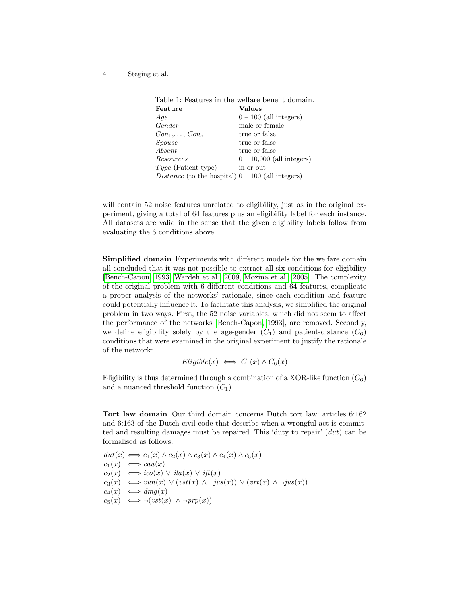<span id="page-3-0"></span>

| Table 1: Features in the welfare benefit domain.           |                             |
|------------------------------------------------------------|-----------------------------|
| Feature                                                    | Values                      |
| Age                                                        | $0 - 100$ (all integers)    |
| Gender                                                     | male or female              |
| $Con_1, \ldots, Con_5$                                     | true or false               |
| Spouse                                                     | true or false               |
| Absent                                                     | true or false               |
| Resources                                                  | $0 - 10,000$ (all integers) |
| $Type$ (Patient type)                                      | in or out                   |
| <i>Distance</i> (to the hospital) $0 - 100$ (all integers) |                             |

will contain 52 noise features unrelated to eligibility, just as in the original experiment, giving a total of 64 features plus an eligibility label for each instance. All datasets are valid in the sense that the given eligibility labels follow from evaluating the 6 conditions above.

Simplified domain Experiments with different models for the welfare domain all concluded that it was not possible to extract all six conditions for eligibility [\[Bench-Capon, 1993,](#page-19-11) [Wardeh et al., 2009,](#page-20-9) Možina et al., 2005]. The complexity of the original problem with 6 different conditions and 64 features, complicate a proper analysis of the networks' rationale, since each condition and feature could potentially influence it. To facilitate this analysis, we simplified the original problem in two ways. First, the 52 noise variables, which did not seem to affect the performance of the networks [\[Bench-Capon, 1993\]](#page-19-11), are removed. Secondly, we define eligibility solely by the age-gender  $(C_1)$  and patient-distance  $(C_6)$ conditions that were examined in the original experiment to justify the rationale of the network:

$$
Eligible(x) \iff C_1(x) \land C_6(x)
$$

Eligibility is thus determined through a combination of a XOR-like function  $(C_6)$ and a nuanced threshold function  $(C_1)$ .

Tort law domain Our third domain concerns Dutch tort law: articles 6:162 and 6:163 of the Dutch civil code that describe when a wrongful act is committed and resulting damages must be repaired. This 'duty to repair' (dut) can be formalised as follows:

 $dut(x) \Longleftrightarrow c_1(x) \wedge c_2(x) \wedge c_3(x) \wedge c_4(x) \wedge c_5(x)$  $c_1(x) \iff cau(x)$  $c_2(x) \iff ico(x) \lor ila(x) \lor ift(x)$  $c_3(x) \iff vun(x) \lor (vst(x) \land \neg jus(x)) \lor (vrt(x) \land \neg jus(x))$  $c_4(x) \iff dmg(x)$  $c_5(x) \iff \neg(vst(x) \land \neg prp(x))$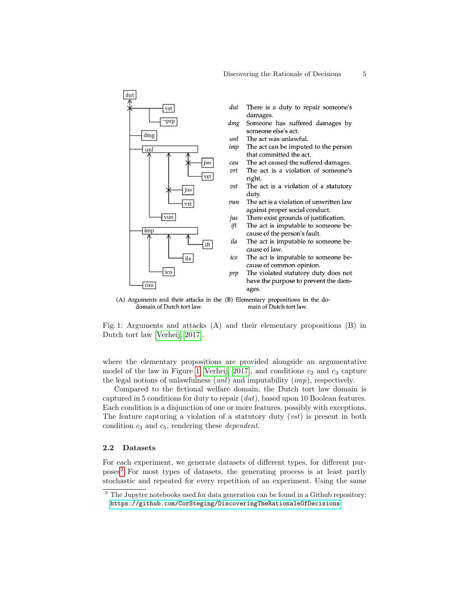<span id="page-4-0"></span>

(A) Arguments and their attacks in the (B) Elementary propositions in the dodomain of Dutch tort law. main of Dutch tort law.

Fig. 1: Arguments and attacks (A) and their elementary propositions (B) in Dutch tort law [\[Verheij, 2017\]](#page-20-13).

where the elementary propositions are provided alongside an argumentative model of the law in Figure [1](#page-4-0) [\[Verheij, 2017\]](#page-20-13), and conditions  $c_2$  and  $c_3$  capture the legal notions of unlawfulness  $(unl)$  and imputability  $(imp)$ , respectively.

Compared to the fictional welfare domain, the Dutch tort law domain is captured in 5 conditions for duty to repair (dut), based upon 10 Boolean features. Each condition is a disjunction of one or more features, possibly with exceptions. The feature capturing a violation of a statutory duty  $(vst)$  is present in both condition  $c_3$  and  $c_5$ , rendering these *dependent*.

#### 2.2 Datasets

For each experiment, we generate datasets of different types, for different purposes[3](#page-4-1) For most types of datasets, the generating process is at least partly stochastic and repeated for every repetition of an experiment. Using the same

<span id="page-4-1"></span><sup>&</sup>lt;sup>3</sup> The Jupyter notebooks used for data generation can be found in a Github repository: <https://github.com/CorSteging/DiscoveringTheRationaleOfDecisions>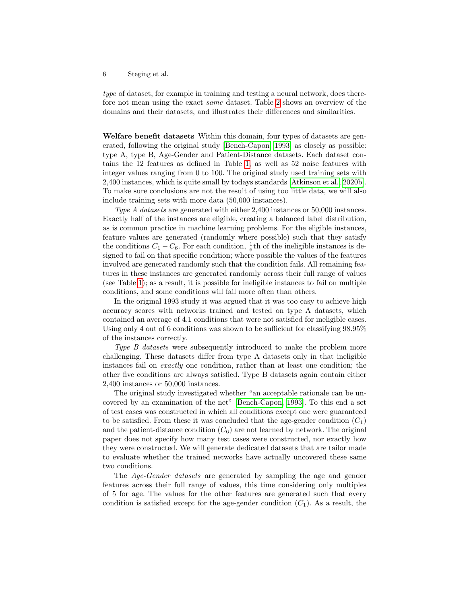type of dataset, for example in training and testing a neural network, does therefore not mean using the exact same dataset. Table [2](#page-6-0) shows an overview of the domains and their datasets, and illustrates their differences and similarities.

Welfare benefit datasets Within this domain, four types of datasets are generated, following the original study [\[Bench-Capon, 1993\]](#page-19-11) as closely as possible: type A, type B, Age-Gender and Patient-Distance datasets. Each dataset contains the 12 features as defined in Table [1,](#page-3-0) as well as 52 noise features with integer values ranging from 0 to 100. The original study used training sets with 2,400 instances, which is quite small by todays standards [\[Atkinson et al., 2020b\]](#page-19-0). To make sure conclusions are not the result of using too little data, we will also include training sets with more data (50,000 instances).

Type A datasets are generated with either 2,400 instances or 50,000 instances. Exactly half of the instances are eligible, creating a balanced label distribution, as is common practice in machine learning problems. For the eligible instances, feature values are generated (randomly where possible) such that they satisfy the conditions  $C_1 - C_6$ . For each condition,  $\frac{1}{6}$ th of the ineligible instances is designed to fail on that specific condition; where possible the values of the features involved are generated randomly such that the condition fails. All remaining features in these instances are generated randomly across their full range of values (see Table [1\)](#page-3-0); as a result, it is possible for ineligible instances to fail on multiple conditions, and some conditions will fail more often than others.

In the original 1993 study it was argued that it was too easy to achieve high accuracy scores with networks trained and tested on type A datasets, which contained an average of 4.1 conditions that were not satisfied for ineligible cases. Using only 4 out of 6 conditions was shown to be sufficient for classifying 98.95% of the instances correctly.

Type B datasets were subsequently introduced to make the problem more challenging. These datasets differ from type A datasets only in that ineligible instances fail on exactly one condition, rather than at least one condition; the other five conditions are always satisfied. Type B datasets again contain either 2,400 instances or 50,000 instances.

The original study investigated whether "an acceptable rationale can be uncovered by an examination of the net" [\[Bench-Capon, 1993\]](#page-19-11). To this end a set of test cases was constructed in which all conditions except one were guaranteed to be satisfied. From these it was concluded that the age-gender condition  $(C_1)$ and the patient-distance condition  $(C_6)$  are not learned by network. The original paper does not specify how many test cases were constructed, nor exactly how they were constructed. We will generate dedicated datasets that are tailor made to evaluate whether the trained networks have actually uncovered these same two conditions.

The Age-Gender datasets are generated by sampling the age and gender features across their full range of values, this time considering only multiples of 5 for age. The values for the other features are generated such that every condition is satisfied except for the age-gender condition  $(C_1)$ . As a result, the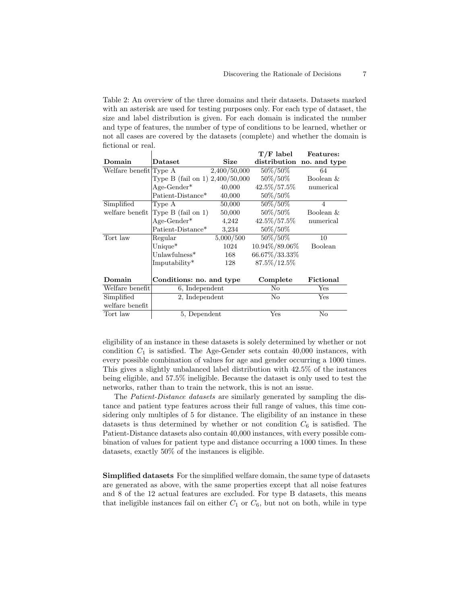<span id="page-6-0"></span>Table 2: An overview of the three domains and their datasets. Datasets marked with an asterisk are used for testing purposes only. For each type of dataset, the size and label distribution is given. For each domain is indicated the number and type of features, the number of type of conditions to be learned, whether or not all cases are covered by the datasets (complete) and whether the domain is fictional or real.  $T/T$  label  $T$ 

|                        |                                 |              | T/F label     | <b>Features:</b>          |
|------------------------|---------------------------------|--------------|---------------|---------------------------|
| Domain                 | Dataset                         | Size         |               | distribution no. and type |
| Welfare benefit Type A |                                 | 2,400/50,000 | 50%/50%       | 64                        |
|                        | Type B (fail on 1) 2,400/50,000 |              | $50\%/50\%$   | Boolean &                 |
|                        | $Age\text{-}Gender*$            | 40,000       | 42.5%/57.5%   | numerical                 |
|                        | Patient-Distance*               | 40,000       | 50\%/50\%     |                           |
| Simplified             | Type A                          | 50,000       | 50%/50%       | 4                         |
| welfare benefit        | Type $B$ (fail on 1)            | 50,000       | 50%/50%       | Boolean &                 |
|                        | $Age\text{-}Gender*$            | 4,242        | 42.5%/57.5%   | numerical                 |
|                        | Patient-Distance*               | 3,234        | 50\%/50\%     |                           |
| Tort law               | Regular                         | 5,000/500    | 50%/50%       | 10                        |
|                        | Unique $*$                      | 1024         | 10.94%/89.06% | Boolean                   |
|                        | Unlawfulness $*$                | 168          | 66.67%/33.33% |                           |
|                        | Imputability*                   | 128          | 87.5%/12.5%   |                           |
|                        |                                 |              |               |                           |
| Domain                 | Conditions: no. and type        |              | Complete      | Fictional                 |
| Welfare benefit        | 6, Independent                  |              | No            | $_{\rm Yes}$              |
| Simplified             | 2, Independent                  |              | No            | Yes                       |
| welfare benefit        |                                 |              |               |                           |
| Tort law               | 5, Dependent                    |              | Yes           | No                        |

eligibility of an instance in these datasets is solely determined by whether or not condition  $C_1$  is satisfied. The Age-Gender sets contain 40,000 instances, with every possible combination of values for age and gender occurring a 1000 times. This gives a slightly unbalanced label distribution with 42.5% of the instances being eligible, and 57.5% ineligible. Because the dataset is only used to test the networks, rather than to train the network, this is not an issue.

The Patient-Distance datasets are similarly generated by sampling the distance and patient type features across their full range of values, this time considering only multiples of 5 for distance. The eligibility of an instance in these datasets is thus determined by whether or not condition  $C_6$  is satisfied. The Patient-Distance datasets also contain 40,000 instances, with every possible combination of values for patient type and distance occurring a 1000 times. In these datasets, exactly 50% of the instances is eligible.

Simplified datasets For the simplified welfare domain, the same type of datasets are generated as above, with the same properties except that all noise features and 8 of the 12 actual features are excluded. For type B datasets, this means that ineligible instances fail on either  $C_1$  or  $C_6$ , but not on both, while in type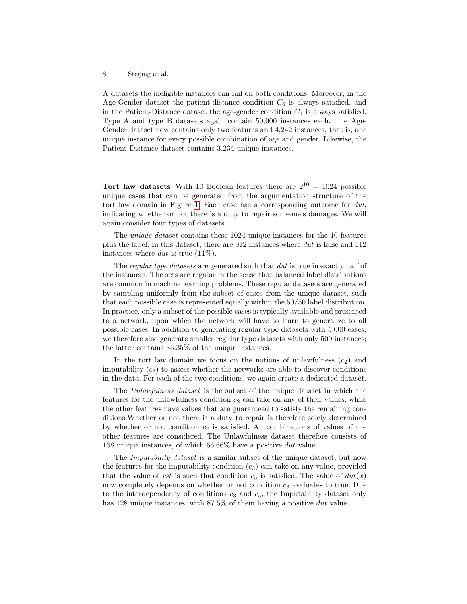A datasets the ineligible instances can fail on both conditions. Moreover, in the Age-Gender dataset the patient-distance condition  $C_6$  is always satisfied, and in the Patient-Distance dataset the age-gender condition  $C_1$  is always satisfied. Type A and type B datasets again contain 50,000 instances each. The Age-Gender dataset now contains only two features and 4,242 instances, that is, one unique instance for every possible combination of age and gender. Likewise, the Patient-Distance dataset contains 3,234 unique instances.

Tort law datasets With 10 Boolean features there are  $2^{10} = 1024$  possible unique cases that can be generated from the argumentation structure of the tort law domain in Figure [1.](#page-4-0) Each case has a corresponding outcome for dut, indicating whether or not there is a duty to repair someone's damages. We will again consider four types of datasets.

The unique dataset contains these 1024 unique instances for the 10 features plus the label. In this dataset, there are 912 instances where dut is false and 112 instances where  $\text{d}ut$  is true (11\%).

The *regular type datasets* are generated such that *dut* is true in exactly half of the instances. The sets are regular in the sense that balanced label distributions are common in machine learning problems. These regular datasets are generated by sampling uniformly from the subset of cases from the unique dataset, such that each possible case is represented equally within the 50/50 label distribution. In practice, only a subset of the possible cases is typically available and presented to a network, upon which the network will have to learn to generalize to all possible cases. In addition to generating regular type datasets with 5,000 cases, we therefore also generate smaller regular type datasets with only 500 instances; the latter contains 35.35% of the unique instances.

In the tort law domain we focus on the notions of unlawfulness  $(c_2)$  and imputability  $(c_3)$  to assess whether the networks are able to discover conditions in the data. For each of the two conditions, we again create a dedicated dataset.

The Unlawfulness dataset is the subset of the unique dataset in which the features for the unlawfulness condition  $c_2$  can take on any of their values, while the other features have values that are guaranteed to satisfy the remaining conditions.Whether or not there is a duty to repair is therefore solely determined by whether or not condition  $c_2$  is satisfied. All combinations of values of the other features are considered. The Unlawfulness dataset therefore consists of 168 unique instances, of which 66.66% have a positive dut value.

The *Imputability dataset* is a similar subset of the unique dataset, but now the features for the imputability condition  $(c_3)$  can take on any value, provided that the value of vst is such that condition  $c_5$  is satisfied. The value of  $du(tx)$ now completely depends on whether or not condition  $c_3$  evaluates to true. Due to the interdependency of conditions  $c_3$  and  $c_5$ , the Imputability dataset only has 128 unique instances, with 87.5% of them having a positive dut value.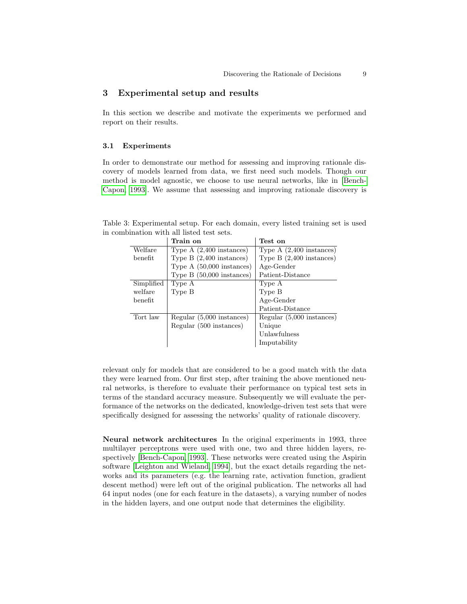## 3 Experimental setup and results

In this section we describe and motivate the experiments we performed and report on their results.

#### 3.1 Experiments

In order to demonstrate our method for assessing and improving rationale discovery of models learned from data, we first need such models. Though our method is model agnostic, we choose to use neural networks, like in [\[Bench-](#page-19-11)[Capon, 1993\]](#page-19-11). We assume that assessing and improving rationale discovery is

|                        | Train on                    | Test on                    |
|------------------------|-----------------------------|----------------------------|
| Welfare                | Type $A(2,400$ instances)   | Type $A(2,400$ instances)  |
| benefit                | Type $B(2,400)$ instances)  | Type $B(2,400)$ instances) |
|                        | Type $A(50,000)$ instances) | Age-Gender                 |
|                        | Type $B(50,000)$ instances) | Patient-Distance           |
| Simplified             | Type A                      | Type A                     |
| welfare                | Type B                      | Type B                     |
| $\mathop{\rm benefit}$ |                             | Age-Gender                 |
|                        |                             | Patient-Distance           |
| Tort law               | Regular (5,000 instances)   | Regular (5,000 instances)  |
|                        | Regular (500 instances)     | Unique                     |
|                        |                             | Unlawfulness               |
|                        |                             | Imputability               |
|                        |                             |                            |

<span id="page-8-0"></span>Table 3: Experimental setup. For each domain, every listed training set is used in combination with all listed test sets.

relevant only for models that are considered to be a good match with the data they were learned from. Our first step, after training the above mentioned neural networks, is therefore to evaluate their performance on typical test sets in terms of the standard accuracy measure. Subsequently we will evaluate the performance of the networks on the dedicated, knowledge-driven test sets that were specifically designed for assessing the networks' quality of rationale discovery.

Neural network architectures In the original experiments in 1993, three multilayer perceptrons were used with one, two and three hidden layers, respectively [\[Bench-Capon, 1993\]](#page-19-11). These networks were created using the Aspirin software [\[Leighton and Wieland, 1994\]](#page-19-13), but the exact details regarding the networks and its parameters (e.g. the learning rate, activation function, gradient descent method) were left out of the original publication. The networks all had 64 input nodes (one for each feature in the datasets), a varying number of nodes in the hidden layers, and one output node that determines the eligibility.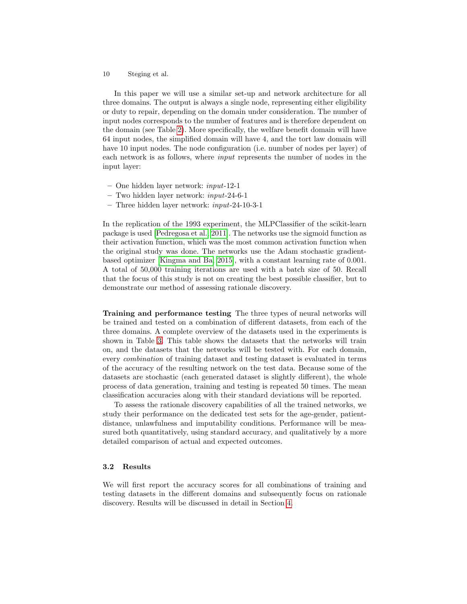In this paper we will use a similar set-up and network architecture for all three domains. The output is always a single node, representing either eligibility or duty to repair, depending on the domain under consideration. The number of input nodes corresponds to the number of features and is therefore dependent on the domain (see Table [2\)](#page-6-0). More specifically, the welfare benefit domain will have 64 input nodes, the simplified domain will have 4, and the tort law domain will have 10 input nodes. The node configuration (i.e. number of nodes per layer) of each network is as follows, where input represents the number of nodes in the input layer:

- One hidden layer network: input-12-1
- Two hidden layer network: input-24-6-1
- Three hidden layer network: input-24-10-3-1

In the replication of the 1993 experiment, the MLPClassifier of the scikit-learn package is used [\[Pedregosa et al., 2011\]](#page-20-14). The networks use the sigmoid function as their activation function, which was the most common activation function when the original study was done. The networks use the Adam stochastic gradientbased optimizer [\[Kingma and Ba, 2015\]](#page-19-14), with a constant learning rate of 0.001. A total of 50,000 training iterations are used with a batch size of 50. Recall that the focus of this study is not on creating the best possible classifier, but to demonstrate our method of assessing rationale discovery.

Training and performance testing The three types of neural networks will be trained and tested on a combination of different datasets, from each of the three domains. A complete overview of the datasets used in the experiments is shown in Table [3.](#page-8-0) This table shows the datasets that the networks will train on, and the datasets that the networks will be tested with. For each domain, every combination of training dataset and testing dataset is evaluated in terms of the accuracy of the resulting network on the test data. Because some of the datasets are stochastic (each generated dataset is slightly different), the whole process of data generation, training and testing is repeated 50 times. The mean classification accuracies along with their standard deviations will be reported.

To assess the rationale discovery capabilities of all the trained networks, we study their performance on the dedicated test sets for the age-gender, patientdistance, unlawfulness and imputability conditions. Performance will be measured both quantitatively, using standard accuracy, and qualitatively by a more detailed comparison of actual and expected outcomes.

#### 3.2 Results

We will first report the accuracy scores for all combinations of training and testing datasets in the different domains and subsequently focus on rationale discovery. Results will be discussed in detail in Section [4.](#page-13-0)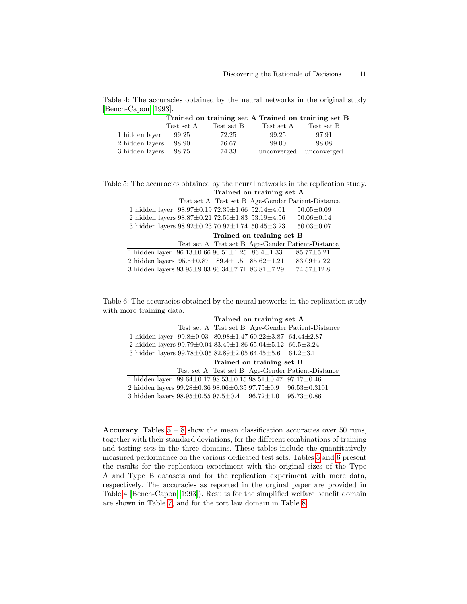<span id="page-10-2"></span>Table 4: The accuracies obtained by the neural networks in the original study [\[Bench-Capon, 1993\]](#page-19-11).  $\sim$   $\sim$   $\sim$   $\sim$  training set  $\Lambda$  Trained on training set B

|                 |            | Trained on training set $A$ Trained on training set B |                    |             |
|-----------------|------------|-------------------------------------------------------|--------------------|-------------|
|                 | Test set A | Test set B                                            | Test set A         | Test set B  |
| 1 hidden laver  | 99.25      | 72.25                                                 | 99.25              | 97.91       |
| 2 hidden layers | 98.90      | 76.67                                                 | 99.00              | 98.08       |
| 3 hidden layers | 98.75      | 74.33                                                 | <i>unconverged</i> | unconverged |

<span id="page-10-0"></span>Table 5: The accuracies obtained by the neural networks in the replication study.  $\perp$ Trained on training set A

|                                                                          |  |                           | Test set A Test set B Age-Gender Patient-Distance |
|--------------------------------------------------------------------------|--|---------------------------|---------------------------------------------------|
| 1 hidden layer $\sqrt{98.97 \pm 0.19}$ 72.39 $\pm 1.66$ 52.14 $\pm 4.01$ |  |                           | $50.05 \pm 0.09$                                  |
| 2 hidden layers $98.87 \pm 0.21$ 72.56 $\pm 1.83$ 53.19 $\pm 4.56$       |  |                           | $50.06 \pm 0.14$                                  |
| 3 hidden layers $ 98.92 \pm 0.23\,70.97 \pm 1.74\,50.45 \pm 3.23$        |  |                           | $50.03 \pm 0.07$                                  |
|                                                                          |  |                           |                                                   |
|                                                                          |  | Trained on training set B |                                                   |
|                                                                          |  |                           | Test set A Test set B Age-Gender Patient-Distance |
| 1 hidden layer $\sqrt{96.13 \pm 0.6690.51 \pm 1.2586.4 \pm 1.33}$        |  |                           | $85.77 \pm 5.21$                                  |
| 2 hidden layers $95.5 \pm 0.87$ 89.4 $\pm 1.5$ 85.62 $\pm 1.21$          |  |                           | $83.09 \pm 7.22$                                  |

<span id="page-10-1"></span>Table 6: The accuracies obtained by the neural networks in the replication study with more training data.

|                                                                                                | Trained on training set A |  |                           |                                                   |
|------------------------------------------------------------------------------------------------|---------------------------|--|---------------------------|---------------------------------------------------|
|                                                                                                |                           |  |                           | Test set A Test set B Age-Gender Patient-Distance |
| 1 hidden layer $ 99.8 \pm 0.03 \quad 80.98 \pm 1.47 \quad 60.22 \pm 3.87 \quad 64.44 \pm 2.87$ |                           |  |                           |                                                   |
| 2 hidden layers 99.79±0.04 83.49±1.86 65.04±5.12 66.5±3.24                                     |                           |  |                           |                                                   |
| 3 hidden layers $ 99.78 \pm 0.0582.89 \pm 2.0564.45 \pm 5.6664.2 \pm 3.1$                      |                           |  |                           |                                                   |
|                                                                                                |                           |  |                           |                                                   |
|                                                                                                |                           |  | Trained on training set B |                                                   |
|                                                                                                |                           |  |                           | Test set A Test set B Age-Gender Patient-Distance |
| 1 hidden layer $\sqrt{99.64 \pm 0.17}$ 98.53 $\pm$ 0.15 98.51 $\pm$ 0.47 97.17 $\pm$ 0.46      |                           |  |                           |                                                   |
| 2 hidden layers 99.28 $\pm$ 0.36 98.06 $\pm$ 0.35 97.75 $\pm$ 0.9 96.53 $\pm$ 0.3101           |                           |  |                           |                                                   |

Accuracy Tables  $5 - 8$  $5 - 8$  show the mean classification accuracies over [5](#page-10-0)0 runs, together with their standard deviations, for the different combinations of training and testing sets in the three domains. These tables include the quantitatively measured performance on the various dedicated test sets. Tables [5](#page-10-0) and [6](#page-10-1) present the results for the replication experiment with the original sizes of the Type A and Type B datasets and for the replication experiment with more data, respectively. The accuracies as reported in the orginal paper are provided in Table [4](#page-10-2) [\[Bench-Capon, 1993\]](#page-19-11)). Results for the simplified welfare benefit domain are shown in Table [7,](#page-11-1) and for the tort law domain in Table [8.](#page-11-0)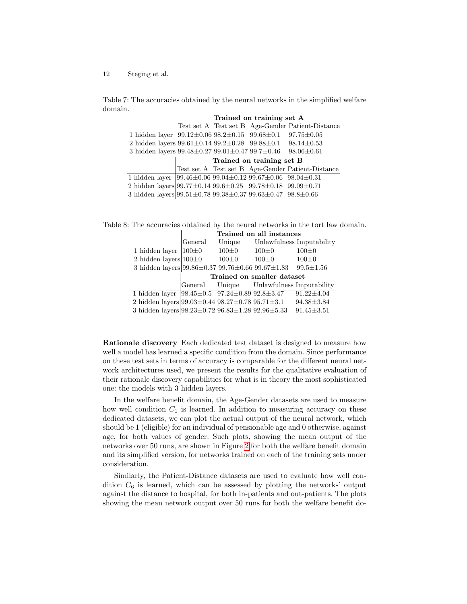<span id="page-11-1"></span>Table 7: The accuracies obtained by the neural networks in the simplified welfare domain.

|                                                                                    | Trained on training set A |  |                           |                                                   |
|------------------------------------------------------------------------------------|---------------------------|--|---------------------------|---------------------------------------------------|
|                                                                                    |                           |  |                           | Test set A Test set B Age-Gender Patient-Distance |
| 1 hidden layer $ 99.12 \pm 0.0698.2 \pm 0.1599.68 \pm 0.197.75 \pm 0.05$           |                           |  |                           |                                                   |
| 2 hidden layers $99.61 \pm 0.1499.2 \pm 0.2899.88 \pm 0.198.14 \pm 0.53$           |                           |  |                           |                                                   |
| 3 hidden layers $99.48 \pm 0.2799.01 \pm 0.4799.7 \pm 0.4699.06 \pm 0.61$          |                           |  |                           |                                                   |
|                                                                                    |                           |  |                           |                                                   |
|                                                                                    |                           |  | Trained on training set B |                                                   |
|                                                                                    |                           |  |                           | Test set A Test set B Age-Gender Patient-Distance |
| 1 hidden layer $ 99.46 \pm 0.0699.04 \pm 0.1299.67 \pm 0.0698.04 \pm 0.31$         |                           |  |                           |                                                   |
| 2 hidden layers 99.77 $\pm$ 0.14 99.6 $\pm$ 0.25 99.78 $\pm$ 0.18 99.09 $\pm$ 0.71 |                           |  |                           |                                                   |

<span id="page-11-0"></span>Table 8: The accuracies obtained by the neural networks in the tort law domain.

|                                                                    | Trained on all instances |           |                                          |                  |
|--------------------------------------------------------------------|--------------------------|-----------|------------------------------------------|------------------|
|                                                                    | General                  | Unique    | Unlawfulness Imputability                |                  |
| 1 hidden layer $ 100\pm0$                                          |                          | $100\pm0$ | $100 \pm 0$                              | $100 \pm 0$      |
| 2 hidden layers $100\pm0$                                          |                          | $100\pm0$ | $100 \pm 0$                              | $100 \pm 0$      |
| 3 hidden layers 99.86 $\pm$ 0.37 99.76 $\pm$ 0.66 99.67 $\pm$ 1.83 |                          |           |                                          | $99.5 \pm 1.56$  |
|                                                                    |                          |           |                                          |                  |
|                                                                    |                          |           | Trained on smaller dataset               |                  |
|                                                                    |                          |           | General Unique Unlawfulness Imputability |                  |
| 1 hidden layer $\sqrt{98.45 \pm 0.5}$ 97.24±0.89 92.8±3.47         |                          |           |                                          | $91.22 \pm 4.04$ |
| 2 hidden layers $99.03 \pm 0.44$ $98.27 \pm 0.78$ $95.71 \pm 3.1$  |                          |           |                                          | $94.38 \pm 3.84$ |

Rationale discovery Each dedicated test dataset is designed to measure how well a model has learned a specific condition from the domain. Since performance on these test sets in terms of accuracy is comparable for the different neural network architectures used, we present the results for the qualitative evaluation of their rationale discovery capabilities for what is in theory the most sophisticated one: the models with 3 hidden layers.

In the welfare benefit domain, the Age-Gender datasets are used to measure how well condition  $C_1$  is learned. In addition to measuring accuracy on these dedicated datasets, we can plot the actual output of the neural network, which should be 1 (eligible) for an individual of pensionable age and 0 otherwise, against age, for both values of gender. Such plots, showing the mean output of the networks over 50 runs, are shown in Figure [2](#page-12-0) for both the welfare benefit domain and its simplified version, for networks trained on each of the training sets under consideration.

Similarly, the Patient-Distance datasets are used to evaluate how well condition  $C_6$  is learned, which can be assessed by plotting the networks' output against the distance to hospital, for both in-patients and out-patients. The plots showing the mean network output over 50 runs for both the welfare benefit do-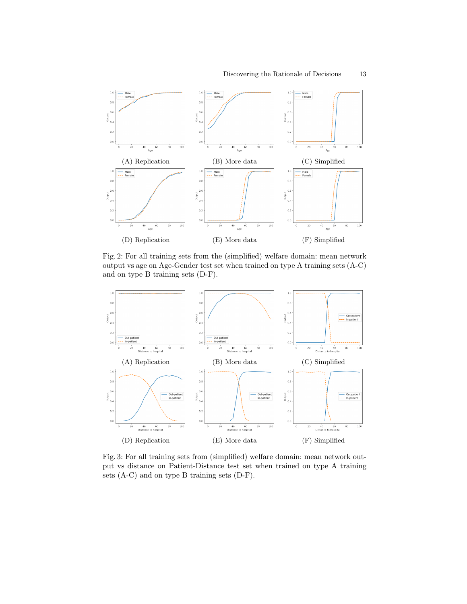<span id="page-12-0"></span>

Fig. 2: For all training sets from the (simplified) welfare domain: mean network output vs age on Age-Gender test set when trained on type A training sets (A-C) and on type B training sets (D-F).

<span id="page-12-1"></span>

Fig. 3: For all training sets from (simplified) welfare domain: mean network output vs distance on Patient-Distance test set when trained on type A training sets (A-C) and on type B training sets (D-F).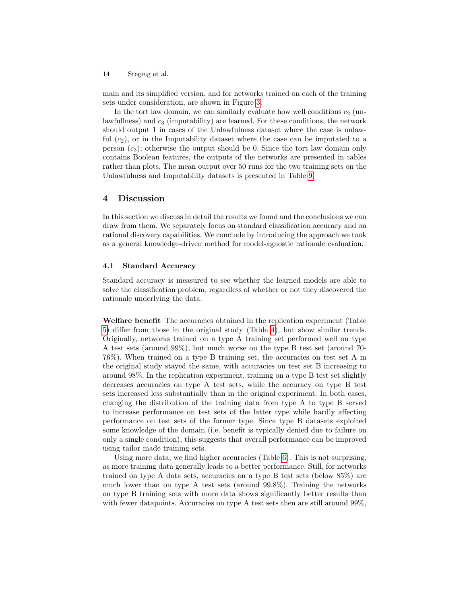main and its simplified version, and for networks trained on each of the training sets under consideration, are shown in Figure [3.](#page-12-1)

In the tort law domain, we can similarly evaluate how well conditions  $c_2$  (unlawfullness) and  $c_3$  (imputability) are learned. For these conditions, the network should output 1 in cases of the Unlawfulness dataset where the case is unlawful  $(c_2)$ , or in the Imputability dataset where the case can be imputated to a person  $(c_3)$ ; otherwise the output should be 0. Since the tort law domain only contains Boolean features, the outputs of the networks are presented in tables rather than plots. The mean output over 50 runs for the two training sets on the Unlawfulness and Imputability datasets is presented in Table [9.](#page-14-0)

### <span id="page-13-0"></span>4 Discussion

In this section we discuss in detail the results we found and the conclusions we can draw from them. We separately focus on standard classification accuracy and on rational discovery capabilities. We conclude by introducing the approach we took as a general knowledge-driven method for model-agnostic rationale evaluation.

#### 4.1 Standard Accuracy

Standard accuracy is measured to see whether the learned models are able to solve the classification problem, regardless of whether or not they discovered the rationale underlying the data.

Welfare benefit The accuracies obtained in the replication experiment (Table [5\)](#page-10-0) differ from those in the original study (Table [4\)](#page-10-2), but show similar trends. Originally, networks trained on a type A training set performed well on type A test sets (around 99%), but much worse on the type B test set (around 70- 76%). When trained on a type B training set, the accuracies on test set A in the original study stayed the same, with accuracies on test set B increasing to around 98%. In the replication experiment, training on a type B test set slightly decreases accuracies on type A test sets, while the accuracy on type B test sets increased less substantially than in the original experiment. In both cases, changing the distribution of the training data from type A to type B served to increase performance on test sets of the latter type while hardly affecting performance on test sets of the former type. Since type B datasets exploited some knowledge of the domain (i.e. benefit is typically denied due to failure on only a single condition), this suggests that overall performance can be improved using tailor made training sets.

Using more data, we find higher accuracies (Table [6\)](#page-10-1). This is not surprising, as more training data generally leads to a better performance. Still, for networks trained on type A data sets, accuracies on a type B test sets (below 85%) are much lower than on type A test sets (around  $99.8\%$ ). Training the networks on type B training sets with more data shows significantly better results than with fewer datapoints. Accuracies on type A test sets then are still around 99%,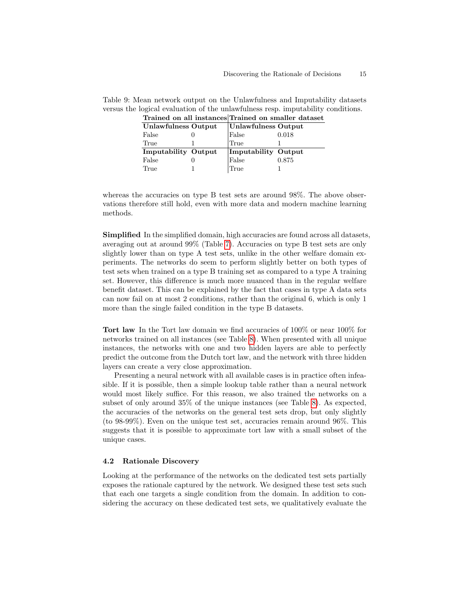| 11 ani 011 an 1110 an 00   |                     | rramoa on phiamol autabol |
|----------------------------|---------------------|---------------------------|
| Unlawfulness Output        | Unlawfulness Output |                           |
| False                      | False               | 0.018                     |
| True                       | True                |                           |
| <b>Imputability Output</b> | Imputability Output |                           |
| False                      | False               | 0.875                     |
| True                       | True                |                           |

<span id="page-14-0"></span>Table 9: Mean network output on the Unlawfulness and Imputability datasets versus the logical evaluation of the unlawfulness resp. imputability conditions. Trained on all instances Trained on smaller dataset

whereas the accuracies on type B test sets are around 98%. The above observations therefore still hold, even with more data and modern machine learning methods.

Simplified In the simplified domain, high accuracies are found across all datasets, averaging out at around 99% (Table [7\)](#page-11-1). Accuracies on type B test sets are only slightly lower than on type A test sets, unlike in the other welfare domain experiments. The networks do seem to perform slightly better on both types of test sets when trained on a type B training set as compared to a type A training set. However, this difference is much more nuanced than in the regular welfare benefit dataset. This can be explained by the fact that cases in type A data sets can now fail on at most 2 conditions, rather than the original 6, which is only 1 more than the single failed condition in the type B datasets.

Tort law In the Tort law domain we find accuracies of 100% or near 100% for networks trained on all instances (see Table [8\)](#page-11-0). When presented with all unique instances, the networks with one and two hidden layers are able to perfectly predict the outcome from the Dutch tort law, and the network with three hidden layers can create a very close approximation.

Presenting a neural network with all available cases is in practice often infeasible. If it is possible, then a simple lookup table rather than a neural network would most likely suffice. For this reason, we also trained the networks on a subset of only around 35% of the unique instances (see Table [8\)](#page-11-0). As expected, the accuracies of the networks on the general test sets drop, but only slightly (to 98-99%). Even on the unique test set, accuracies remain around 96%. This suggests that it is possible to approximate tort law with a small subset of the unique cases.

#### 4.2 Rationale Discovery

Looking at the performance of the networks on the dedicated test sets partially exposes the rationale captured by the network. We designed these test sets such that each one targets a single condition from the domain. In addition to considering the accuracy on these dedicated test sets, we qualitatively evaluate the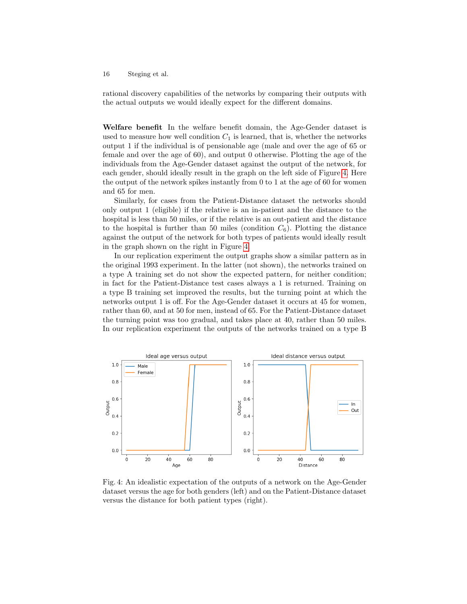rational discovery capabilities of the networks by comparing their outputs with the actual outputs we would ideally expect for the different domains.

Welfare benefit In the welfare benefit domain, the Age-Gender dataset is used to measure how well condition  $C_1$  is learned, that is, whether the networks output 1 if the individual is of pensionable age (male and over the age of 65 or female and over the age of 60), and output 0 otherwise. Plotting the age of the individuals from the Age-Gender dataset against the output of the network, for each gender, should ideally result in the graph on the left side of Figure [4.](#page-15-0) Here the output of the network spikes instantly from 0 to 1 at the age of 60 for women and 65 for men.

Similarly, for cases from the Patient-Distance dataset the networks should only output 1 (eligible) if the relative is an in-patient and the distance to the hospital is less than 50 miles, or if the relative is an out-patient and the distance to the hospital is further than 50 miles (condition  $C_6$ ). Plotting the distance against the output of the network for both types of patients would ideally result in the graph shown on the right in Figure [4.](#page-15-0)

In our replication experiment the output graphs show a similar pattern as in the original 1993 experiment. In the latter (not shown), the networks trained on a type A training set do not show the expected pattern, for neither condition; in fact for the Patient-Distance test cases always a 1 is returned. Training on a type B training set improved the results, but the turning point at which the networks output 1 is off. For the Age-Gender dataset it occurs at 45 for women, rather than 60, and at 50 for men, instead of 65. For the Patient-Distance dataset the turning point was too gradual, and takes place at 40, rather than 50 miles. In our replication experiment the outputs of the networks trained on a type B

<span id="page-15-0"></span>

Fig. 4: An idealistic expectation of the outputs of a network on the Age-Gender dataset versus the age for both genders (left) and on the Patient-Distance dataset versus the distance for both patient types (right).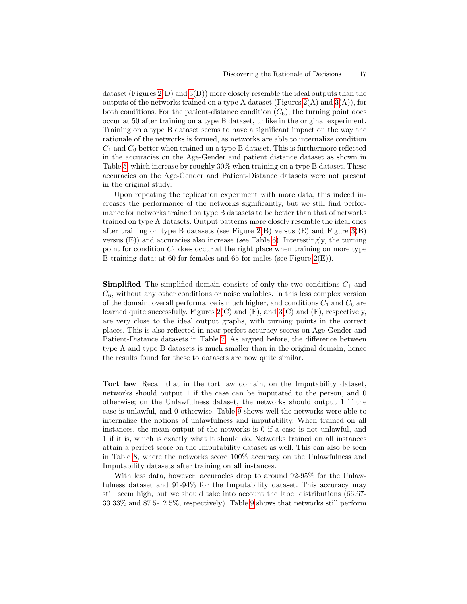dataset (Figures  $2(D)$  and  $3(D)$ ) more closely resemble the ideal outputs than the outputs of the networks trained on a type A dataset (Figures  $2(A)$  and  $3(A)$ ), for both conditions. For the patient-distance condition  $(C_6)$ , the turning point does occur at 50 after training on a type B dataset, unlike in the original experiment. Training on a type B dataset seems to have a significant impact on the way the rationale of the networks is formed, as networks are able to internalize condition  $C_1$  and  $C_6$  better when trained on a type B dataset. This is furthermore reflected in the accuracies on the Age-Gender and patient distance dataset as shown in Table [5,](#page-10-0) which increase by roughly 30% when training on a type B dataset. These accuracies on the Age-Gender and Patient-Distance datasets were not present in the original study.

Upon repeating the replication experiment with more data, this indeed increases the performance of the networks significantly, but we still find performance for networks trained on type B datasets to be better than that of networks trained on type A datasets. Output patterns more closely resemble the ideal ones after training on type B datasets (see Figure [2\(](#page-12-0)B) versus  $(E)$  and Figure [3\(](#page-12-1)B) versus (E)) and accuracies also increase (see Table [6\)](#page-10-1). Interestingly, the turning point for condition  $C_1$  does occur at the right place when training on more type B training data: at 60 for females and 65 for males (see Figure [2\(](#page-12-0)E)).

**Simplified** The simplified domain consists of only the two conditions  $C_1$  and  $C_6$ , without any other conditions or noise variables. In this less complex version of the domain, overall performance is much higher, and conditions  $C_1$  and  $C_6$  are learned quite successfully. Figures  $2(C)$  and  $(F)$ , and  $3(C)$  and  $(F)$ , respectively, are very close to the ideal output graphs, with turning points in the correct places. This is also reflected in near perfect accuracy scores on Age-Gender and Patient-Distance datasets in Table [7.](#page-11-1) As argued before, the difference between type A and type B datasets is much smaller than in the original domain, hence the results found for these to datasets are now quite similar.

Tort law Recall that in the tort law domain, on the Imputability dataset, networks should output 1 if the case can be imputated to the person, and 0 otherwise; on the Unlawfulness dataset, the networks should output 1 if the case is unlawful, and 0 otherwise. Table [9](#page-14-0) shows well the networks were able to internalize the notions of unlawfulness and imputability. When trained on all instances, the mean output of the networks is 0 if a case is not unlawful, and 1 if it is, which is exactly what it should do. Networks trained on all instances attain a perfect score on the Imputability dataset as well. This can also be seen in Table [8,](#page-11-0) where the networks score 100% accuracy on the Unlawfulness and Imputability datasets after training on all instances.

With less data, however, accuracies drop to around 92-95% for the Unlawfulness dataset and 91-94% for the Imputability dataset. This accuracy may still seem high, but we should take into account the label distributions (66.67- 33.33% and 87.5-12.5%, respectively). Table [9](#page-14-0) shows that networks still perform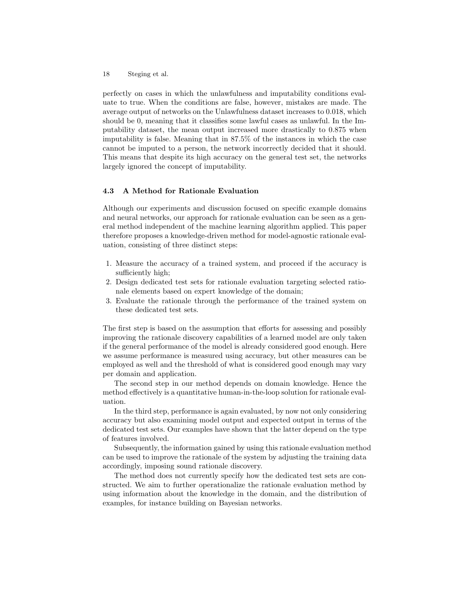perfectly on cases in which the unlawfulness and imputability conditions evaluate to true. When the conditions are false, however, mistakes are made. The average output of networks on the Unlawfulness dataset increases to 0.018, which should be 0, meaning that it classifies some lawful cases as unlawful. In the Imputability dataset, the mean output increased more drastically to 0.875 when imputability is false. Meaning that in 87.5% of the instances in which the case cannot be imputed to a person, the network incorrectly decided that it should. This means that despite its high accuracy on the general test set, the networks largely ignored the concept of imputability.

#### 4.3 A Method for Rationale Evaluation

Although our experiments and discussion focused on specific example domains and neural networks, our approach for rationale evaluation can be seen as a general method independent of the machine learning algorithm applied. This paper therefore proposes a knowledge-driven method for model-agnostic rationale evaluation, consisting of three distinct steps:

- 1. Measure the accuracy of a trained system, and proceed if the accuracy is sufficiently high;
- 2. Design dedicated test sets for rationale evaluation targeting selected rationale elements based on expert knowledge of the domain;
- 3. Evaluate the rationale through the performance of the trained system on these dedicated test sets.

The first step is based on the assumption that efforts for assessing and possibly improving the rationale discovery capabilities of a learned model are only taken if the general performance of the model is already considered good enough. Here we assume performance is measured using accuracy, but other measures can be employed as well and the threshold of what is considered good enough may vary per domain and application.

The second step in our method depends on domain knowledge. Hence the method effectively is a quantitative human-in-the-loop solution for rationale evaluation.

In the third step, performance is again evaluated, by now not only considering accuracy but also examining model output and expected output in terms of the dedicated test sets. Our examples have shown that the latter depend on the type of features involved.

Subsequently, the information gained by using this rationale evaluation method can be used to improve the rationale of the system by adjusting the training data accordingly, imposing sound rationale discovery.

The method does not currently specify how the dedicated test sets are constructed. We aim to further operationalize the rationale evaluation method by using information about the knowledge in the domain, and the distribution of examples, for instance building on Bayesian networks.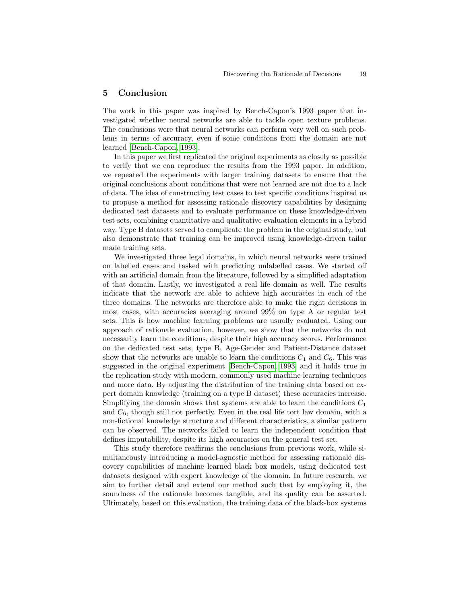## 5 Conclusion

The work in this paper was inspired by Bench-Capon's 1993 paper that investigated whether neural networks are able to tackle open texture problems. The conclusions were that neural networks can perform very well on such problems in terms of accuracy, even if some conditions from the domain are not learned [\[Bench-Capon, 1993\]](#page-19-11).

In this paper we first replicated the original experiments as closely as possible to verify that we can reproduce the results from the 1993 paper. In addition, we repeated the experiments with larger training datasets to ensure that the original conclusions about conditions that were not learned are not due to a lack of data. The idea of constructing test cases to test specific conditions inspired us to propose a method for assessing rationale discovery capabilities by designing dedicated test datasets and to evaluate performance on these knowledge-driven test sets, combining quantitative and qualitative evaluation elements in a hybrid way. Type B datasets served to complicate the problem in the original study, but also demonstrate that training can be improved using knowledge-driven tailor made training sets.

We investigated three legal domains, in which neural networks were trained on labelled cases and tasked with predicting unlabelled cases. We started off with an artificial domain from the literature, followed by a simplified adaptation of that domain. Lastly, we investigated a real life domain as well. The results indicate that the network are able to achieve high accuracies in each of the three domains. The networks are therefore able to make the right decisions in most cases, with accuracies averaging around 99% on type A or regular test sets. This is how machine learning problems are usually evaluated. Using our approach of rationale evaluation, however, we show that the networks do not necessarily learn the conditions, despite their high accuracy scores. Performance on the dedicated test sets, type B, Age-Gender and Patient-Distance dataset show that the networks are unable to learn the conditions  $C_1$  and  $C_6$ . This was suggested in the original experiment [\[Bench-Capon, 1993\]](#page-19-11) and it holds true in the replication study with modern, commonly used machine learning techniques and more data. By adjusting the distribution of the training data based on expert domain knowledge (training on a type B dataset) these accuracies increase. Simplifying the domain shows that systems are able to learn the conditions  $C_1$ and  $C_6$ , though still not perfectly. Even in the real life tort law domain, with a non-fictional knowledge structure and different characteristics, a similar pattern can be observed. The networks failed to learn the independent condition that defines imputability, despite its high accuracies on the general test set.

This study therefore reaffirms the conclusions from previous work, while simultaneously introducing a model-agnostic method for assessing rationale discovery capabilities of machine learned black box models, using dedicated test datasets designed with expert knowledge of the domain. In future research, we aim to further detail and extend our method such that by employing it, the soundness of the rationale becomes tangible, and its quality can be asserted. Ultimately, based on this evaluation, the training data of the black-box systems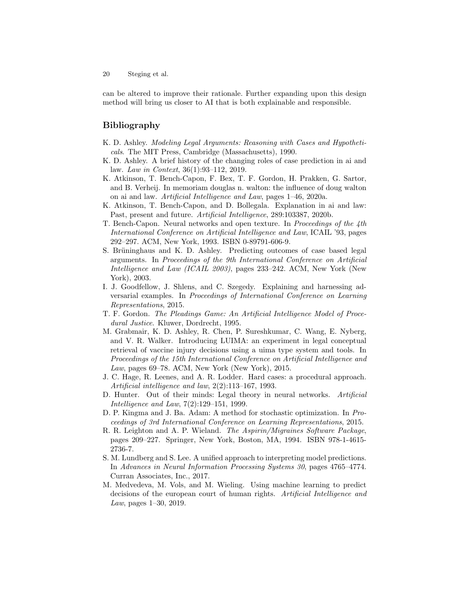can be altered to improve their rationale. Further expanding upon this design method will bring us closer to AI that is both explainable and responsible.

## Bibliography

- <span id="page-19-1"></span>K. D. Ashley. Modeling Legal Arguments: Reasoning with Cases and Hypotheticals. The MIT Press, Cambridge (Massachusetts), 1990.
- <span id="page-19-8"></span>K. D. Ashley. A brief history of the changing roles of case prediction in ai and law. Law in Context, 36(1):93–112, 2019.
- <span id="page-19-2"></span>K. Atkinson, T. Bench-Capon, F. Bex, T. F. Gordon, H. Prakken, G. Sartor, and B. Verheij. In memoriam douglas n. walton: the influence of doug walton on ai and law. Artificial Intelligence and Law, pages 1–46, 2020a.
- <span id="page-19-0"></span>K. Atkinson, T. Bench-Capon, and D. Bollegala. Explanation in ai and law: Past, present and future. Artificial Intelligence, 289:103387, 2020b.
- <span id="page-19-11"></span>T. Bench-Capon. Neural networks and open texture. In Proceedings of the 4th International Conference on Artificial Intelligence and Law, ICAIL '93, pages 292–297. ACM, New York, 1993. ISBN 0-89791-606-9.
- <span id="page-19-10"></span>S. Brüninghaus and K. D. Ashley. Predicting outcomes of case based legal arguments. In Proceedings of the 9th International Conference on Artificial Intelligence and Law (ICAIL 2003), pages 233–242. ACM, New York (New York), 2003.
- <span id="page-19-6"></span>I. J. Goodfellow, J. Shlens, and C. Szegedy. Explaining and harnessing adversarial examples. In Proceedings of International Conference on Learning Representations, 2015.
- <span id="page-19-4"></span>T. F. Gordon. The Pleadings Game: An Artificial Intelligence Model of Procedural Justice. Kluwer, Dordrecht, 1995.
- <span id="page-19-7"></span>M. Grabmair, K. D. Ashley, R. Chen, P. Sureshkumar, C. Wang, E. Nyberg, and V. R. Walker. Introducing LUIMA: an experiment in legal conceptual retrieval of vaccine injury decisions using a uima type system and tools. In Proceedings of the 15th International Conference on Artificial Intelligence and Law, pages 69–78. ACM, New York (New York), 2015.
- <span id="page-19-3"></span>J. C. Hage, R. Leenes, and A. R. Lodder. Hard cases: a procedural approach. Artificial intelligence and law, 2(2):113–167, 1993.
- <span id="page-19-12"></span>D. Hunter. Out of their minds: Legal theory in neural networks. Artificial Intelligence and Law, 7(2):129–151, 1999.
- <span id="page-19-14"></span>D. P. Kingma and J. Ba. Adam: A method for stochastic optimization. In Proceedings of 3rd International Conference on Learning Representations, 2015.
- <span id="page-19-13"></span>R. R. Leighton and A. P. Wieland. The Aspirin/Migraines Software Package, pages 209–227. Springer, New York, Boston, MA, 1994. ISBN 978-1-4615- 2736-7.
- <span id="page-19-5"></span>S. M. Lundberg and S. Lee. A unified approach to interpreting model predictions. In Advances in Neural Information Processing Systems 30, pages 4765–4774. Curran Associates, Inc., 2017.
- <span id="page-19-9"></span>M. Medvedeva, M. Vols, and M. Wieling. Using machine learning to predict decisions of the european court of human rights. Artificial Intelligence and Law, pages 1–30, 2019.